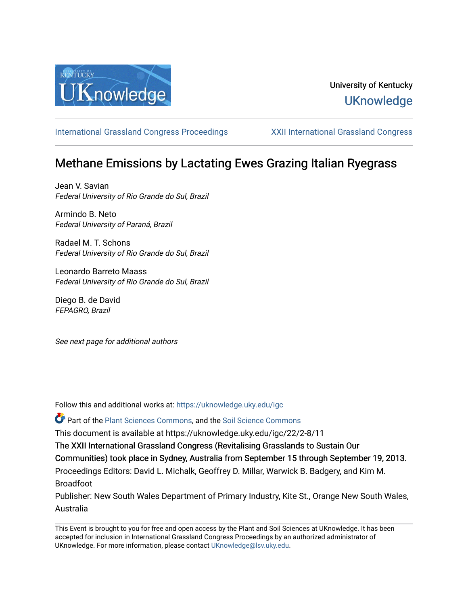

## University of Kentucky **UKnowledge**

[International Grassland Congress Proceedings](https://uknowledge.uky.edu/igc) [XXII International Grassland Congress](https://uknowledge.uky.edu/igc/22) 

# Methane Emissions by Lactating Ewes Grazing Italian Ryegrass

Jean V. Savian Federal University of Rio Grande do Sul, Brazil

Armindo B. Neto Federal University of Paraná, Brazil

Radael M. T. Schons Federal University of Rio Grande do Sul, Brazil

Leonardo Barreto Maass Federal University of Rio Grande do Sul, Brazil

Diego B. de David FEPAGRO, Brazil

See next page for additional authors

Follow this and additional works at: [https://uknowledge.uky.edu/igc](https://uknowledge.uky.edu/igc?utm_source=uknowledge.uky.edu%2Figc%2F22%2F2-8%2F11&utm_medium=PDF&utm_campaign=PDFCoverPages) 

Part of the [Plant Sciences Commons](http://network.bepress.com/hgg/discipline/102?utm_source=uknowledge.uky.edu%2Figc%2F22%2F2-8%2F11&utm_medium=PDF&utm_campaign=PDFCoverPages), and the [Soil Science Commons](http://network.bepress.com/hgg/discipline/163?utm_source=uknowledge.uky.edu%2Figc%2F22%2F2-8%2F11&utm_medium=PDF&utm_campaign=PDFCoverPages) 

This document is available at https://uknowledge.uky.edu/igc/22/2-8/11

The XXII International Grassland Congress (Revitalising Grasslands to Sustain Our

Communities) took place in Sydney, Australia from September 15 through September 19, 2013.

Proceedings Editors: David L. Michalk, Geoffrey D. Millar, Warwick B. Badgery, and Kim M. Broadfoot

Publisher: New South Wales Department of Primary Industry, Kite St., Orange New South Wales, Australia

This Event is brought to you for free and open access by the Plant and Soil Sciences at UKnowledge. It has been accepted for inclusion in International Grassland Congress Proceedings by an authorized administrator of UKnowledge. For more information, please contact [UKnowledge@lsv.uky.edu](mailto:UKnowledge@lsv.uky.edu).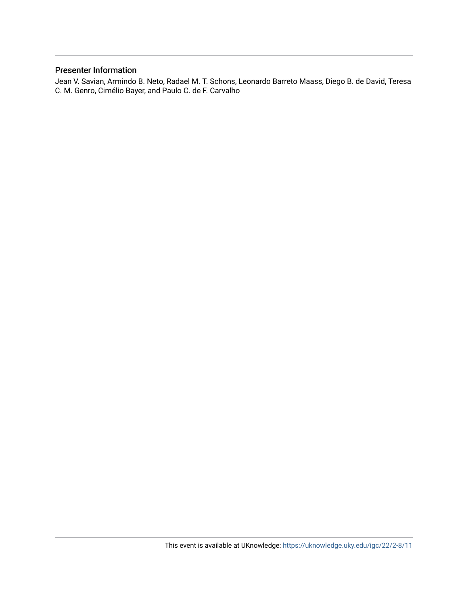### Presenter Information

Jean V. Savian, Armindo B. Neto, Radael M. T. Schons, Leonardo Barreto Maass, Diego B. de David, Teresa C. M. Genro, Cimélio Bayer, and Paulo C. de F. Carvalho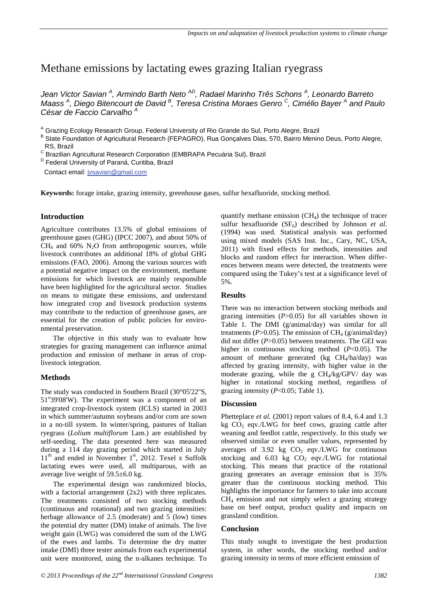### Methane emissions by lactating ewes grazing Italian ryegrass

Jean Victor Savian <sup>A</sup>, Armindo Barth Neto <sup>AD</sup>, Radael Marinho Três Schons <sup>A</sup>, Leonardo Barreto *Maass <sup>A</sup> , Diego Bitencourt de David <sup>B</sup> , Teresa Cristina Moraes Genro <sup>C</sup> , Cimélio Bayer <sup>A</sup> and Paulo César de Faccio Carvalho <sup>A</sup>* 

<sup>A</sup> Grazing Ecology Research Group, Federal University of Rio Grande do Sul, Porto Alegre, Brazil

B State Foundation of Agricultural Research (FEPAGRO), Rua Gonçalves Dias, 570, Bairro Menino Deus, Porto Alegre, RS, Brazil

<sup>C</sup> Brazilian Agricultural Research Corporation (EMBRAPA Pecuária Sul), Brazil

<sup>D</sup> Federal University of Paraná, Curitiba, Brazil

Contact email: jvsavian@gmail.com

**Keywords:** forage intake, grazing intensity, greenhouse gases, sulfur hexafluoride, stocking method.

#### **Introduction**

Agriculture contributes 13.5% of global emissions of greenhouse gases (GHG) (IPCC 2007), and about 50% of  $CH<sub>4</sub>$  and 60% N<sub>2</sub>O from anthropogenic sources, while livestock contributes an additional 18% of global GHG emissions (FAO, 2006). Among the various sources with a potential negative impact on the environment, methane emissions for which livestock are mainly responsible have been highlighted for the agricultural sector. Studies on means to mitigate these emissions, and understand how integrated crop and livestock production systems may contribute to the reduction of greenhouse gases, are essential for the creation of public policies for environmental preservation.

The objective in this study was to evaluate how strategies for grazing management can influence animal production and emission of methane in areas of croplivestock integration.

#### **Methods**

The study was conducted in Southern Brazil (30°05'22''S, 51°39'08'W). The experiment was a component of an integrated crop-livestock system (ICLS) started in 2003 in which summer/autumn soybeans and/or corn are sown in a no-till system. In winter/spring, pastures of Italian ryegrass (*Lolium multiflorum* Lam.) are established by self-seeding. The data presented here was measured during a 114 day grazing period which started in July  $11<sup>th</sup>$  and ended in November  $1<sup>st</sup>$ , 2012. Texel x Suffolk lactating ewes were used, all multiparous, with an average live weight of 59.5±6.0 kg.

The experimental design was randomized blocks, with a factorial arrangement (2x2) with three replicates. The treatments consisted of two stocking methods (continuous and rotational) and two grazing intensities: herbage allowance of 2.5 (moderate) and 5 (low) times the potential dry matter (DM) intake of animals. The live weight gain (LWG) was considered the sum of the LWG of the ewes and lambs. To determine the dry matter intake (DMI) three tester animals from each experimental unit were monitored, using the n-alkanes technique. To quantify methane emission  $(CH<sub>4</sub>)$  the technique of tracer sulfur hexafluoride  $(SF_6)$  described by Johnson *et al.* (1994) was used. Statistical analysis was performed using mixed models (SAS Inst. Inc., Cary, NC, USA, 2011) with fixed effects for methods, intensities and blocks and random effect for interaction. When differences between means were detected, the treatments were compared using the Tukey's test at a significance level of 5%.

#### **Results**

There was no interaction between stocking methods and grazing intensities (*P*>0.05) for all variables shown in Table 1. The DMI (g/animal/day) was similar for all treatments ( $P > 0.05$ ). The emission of CH<sub>4</sub> (g/animal/day) did not differ (*P*>0.05) between treatments. The GEI was higher in continuous stocking method (*P*<0.05). The amount of methane generated (kg CH4/ha/day) was affected by grazing intensity, with higher value in the moderate grazing, while the g  $CH<sub>4</sub>/kg/GPV/$  day was higher in rotational stocking method, regardless of grazing intensity (*P*<0.05; Table 1).

#### **Discussion**

Phetteplace *et al.* (2001) report values of 8.4, 6.4 and 1.3 kg  $CO<sub>2</sub>$  eqv./LWG for beef cows, grazing cattle after weaning and feedlot cattle, respectively. In this study we observed similar or even smaller values, represented by averages of 3.92 kg  $CO<sub>2</sub>$  eqv./LWG for continuous stocking and  $6.03$  kg  $CO<sub>2</sub>$  eqv./LWG for rotational stocking. This means that practice of the rotational grazing generates an average emission that is 35% greater than the continuous stocking method. This highlights the importance for farmers to take into account  $CH<sub>4</sub>$  emission and not simply select a grazing strategy base on beef output, product quality and impacts on grassland condition.

#### **Conclusion**

This study sought to investigate the best production system, in other words, the stocking method and/or grazing intensity in terms of more efficient emission of